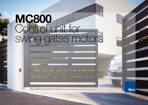# [MC800](https://www.ultramaster.ro/automatizari-porti.html) Control unit for swing gates motors

**STORY AND THE ALTERNATIONAL CONTINUES. THE REAL PROPERTY AND INTERFERING AND THE REAL PROPERTY AND INTERFERING AND THREE REPORTS.** 

**ADVENTURE EXPERIMENTAL REPORT OF A STATE OF A STATE OF A STATE OF A STATE OF A STATE OF A STATE OF A STATE OF** 

**Nice** 

 $\mathbf{L}$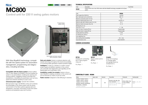### **Nice**

## MC800 Control unit for 230 V swing gates motors



With Nice BlueBUS technology, compatible with the Opera system for automation management, programming and diagnostics, including remotely.

Compatible with the Opera system whose multifunction O-View display (mountable in the box) enables the system to be personalised, modifying the opening and closing positions, staggered closing of the leafs and decelerations, diversifying the parameters such as force, speed and obstacle sensitivity for each motor..

#### Universal power supply: 120/230 VAC 50/60Hz

Microprocessor logic: the MC800 control unit combines the advantages of the Opera system with the advanced functions of the Nice systems (gradual start and deceleration, automatic memorising of both limit switch positions and pedestrian pass door function).



Removable terminals marked with connection codes

Safe and reliable: thanks to obstacle detection with double technology throughout the travel and possibility of connecting latest generation resistive sensitive edges.

Intelligent: on start-up, indicator to confirm correct power supply and efficient operation of the control unit; automatic fault diagnostics and signalling via the flashing light and confirmation LEDs.

Installation couldn't be simpler: thanks to the system BlueBUS, enabling connection of the control unit and accessories by means of just two wires.

Radio receiver: designed to take SM plug-in receivers.

#### TECHNICAL SPECIFICATIONS

Code Description Pack/Pallet MC800 Control unit for one or two 230V motors with Nice BlueBUS technology compatible for the Opera system <sup>1</sup>

| Code                                        | <b>MC800</b>   |  |  |
|---------------------------------------------|----------------|--|--|
| Power supply (Vac 50/60 Hz)                 | 120/230        |  |  |
| Max. motor power and current (W; A)         | 900; 15        |  |  |
| Maximum accessories power 24 V (A)          | 0.2            |  |  |
| Maximum flashing light power (V; W)         | 120/230; 21    |  |  |
| Maximum gate open indicator power CA (V; W) | 24:4           |  |  |
| Maximum electric lock power (Vac; VA)       | 12; 15         |  |  |
| Working time "TL" (s)                       |                |  |  |
| Pause time "TP" (s)                         | $5 - 180$      |  |  |
| Delay 1st motor in opening TRA (s)          | Programmable   |  |  |
| Delay 2nd motor in closing TRC (s)          | Programmable   |  |  |
| Courtesy light time TCOR (s)                | 0:250          |  |  |
| Pre-flashing time TPRE (s)                  | 0:10           |  |  |
| Force adjustment (%)                        |                |  |  |
| Anti-crushing device (sensitivity)          | $min \div max$ |  |  |
| Case dimensions (mm)                        | 230x120x300 h  |  |  |
|                                             |                |  |  |

#### COMMON ACCESSORIES



IBT4N Interface for connecting the O-View programming unit. Pc./Pack 1 MCA<sub>5</sub> Spare control unit for MC800. Pc./Pack 1



IT4WIFI Smart Wi-fi interface to manage gates and garage doors by smartphone (\*).

Pc./Pack 1

#### COMPATIBILITY GUIDE - MC800

| Motor                                                                                                                                                  | Spare code | Receiver | Transmitter                                                                                      | Photocells                                        | Flashing light                    |
|--------------------------------------------------------------------------------------------------------------------------------------------------------|------------|----------|--------------------------------------------------------------------------------------------------|---------------------------------------------------|-----------------------------------|
| T04005, T04006, T04015,<br>T04605, T05015, T05016,<br>T05605, HY7100, HY7005,<br>WG4000. WG5000. MFAB3000.<br>MFAB3000L, LFAB4000,<br>T003000. T004500 | MCA5       | 0XI      | ERA INTI. ERA ONE. ERA<br>FLOR, NICEWAY, FLOR-S.<br>FLOR-M, FLO, ONE, SMILO,<br>VFRY VR. VFRY VF | EPSB, EPMB, EPLB,<br>F210B. EPMOW.<br><b>MOFB</b> | ELAC. EL. ML. MLT.<br><b>LUCY</b> |